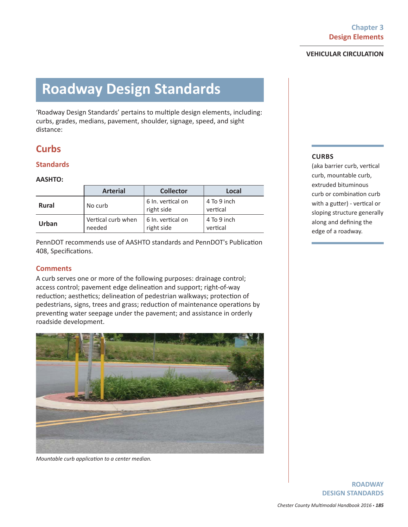# **Roadway Design Standards**

'Roadway Design Standards' pertains to multiple design elements, including: curbs, grades, medians, pavement, shoulder, signage, speed, and sight distance:

# **Curbs**

### **Standards**

### **AASHTO:**

|              | <b>Arterial</b>              | <b>Collector</b>                | Local                   |
|--------------|------------------------------|---------------------------------|-------------------------|
| <b>Rural</b> | No curb                      | 6 In. vertical on<br>right side | 4 To 9 inch<br>vertical |
| Urban        | Vertical curb when<br>needed | 6 In. vertical on<br>right side | 4 To 9 inch<br>vertical |

PennDOT recommends use of AASHTO standards and PennDOT's Publication 408, Specifications.

### **Comments**

A curb serves one or more of the following purposes: drainage control; access control; pavement edge delineation and support; right-of-way reduction; aesthetics; delineation of pedestrian walkways; protection of pedestrians, signs, trees and grass; reduction of maintenance operations by preventing water seepage under the pavement; and assistance in orderly roadside development.



*Mountable curb application to a center median.* 

### **CURBS**

(aka barrier curb, vertical curb, mountable curb, extruded bituminous curb or combination curb with a gutter) - vertical or sloping structure generally along and defining the edge of a roadway.

> **ROADWAY DESIGN STANDARDS**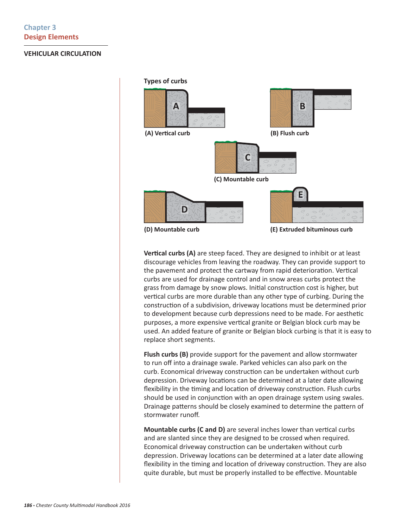

**Vertical curbs (A)** are steep faced. They are designed to inhibit or at least discourage vehicles from leaving the roadway. They can provide support to the pavement and protect the cartway from rapid deterioration. Vertical curbs are used for drainage control and in snow areas curbs protect the grass from damage by snow plows. Initial construction cost is higher, but vertical curbs are more durable than any other type of curbing. During the construction of a subdivision, driveway locations must be determined prior to development because curb depressions need to be made. For aesthetic purposes, a more expensive vertical granite or Belgian block curb may be used. An added feature of granite or Belgian block curbing is that it is easy to replace short segments.

**Flush curbs (B)** provide support for the pavement and allow stormwater to run off into a drainage swale. Parked vehicles can also park on the curb. Economical driveway construction can be undertaken without curb depression. Driveway locations can be determined at a later date allowing flexibility in the timing and location of driveway construction. Flush curbs should be used in conjunction with an open drainage system using swales. Drainage patterns should be closely examined to determine the pattern of stormwater runoff.

**Mountable curbs (C and D)** are several inches lower than vertical curbs and are slanted since they are designed to be crossed when required. Economical driveway construction can be undertaken without curb depression. Driveway locations can be determined at a later date allowing flexibility in the timing and location of driveway construction. They are also quite durable, but must be properly installed to be effective. Mountable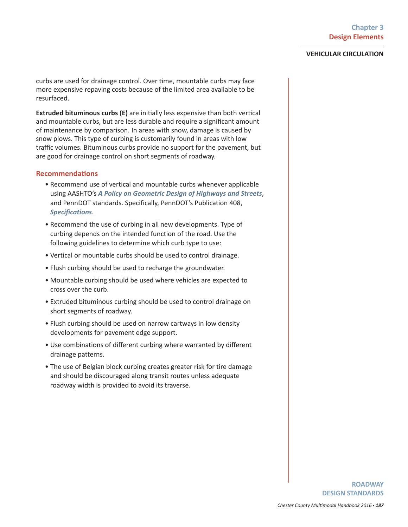curbs are used for drainage control. Over time, mountable curbs may face more expensive repaving costs because of the limited area available to be resurfaced.

**Extruded bituminous curbs (E)** are initially less expensive than both vertical and mountable curbs, but are less durable and require a significant amount of maintenance by comparison. In areas with snow, damage is caused by snow plows. This type of curbing is customarily found in areas with low traffic volumes. Bituminous curbs provide no support for the pavement, but are good for drainage control on short segments of roadway.

### **RecommendaƟ ons**

- Recommend use of vertical and mountable curbs whenever applicable using AASHTO's *A Policy on Geometric Design of Highways and Streets*, and PennDOT standards. Specifically, PennDOT's Publication 408, *Specifications*.
- Recommend the use of curbing in all new developments. Type of curbing depends on the intended function of the road. Use the following guidelines to determine which curb type to use:
- Vertical or mountable curbs should be used to control drainage.
- Flush curbing should be used to recharge the groundwater.
- Mountable curbing should be used where vehicles are expected to cross over the curb.
- Extruded bituminous curbing should be used to control drainage on short segments of roadway.
- Flush curbing should be used on narrow cartways in low density developments for pavement edge support.
- Use combinations of different curbing where warranted by different drainage patterns.
- The use of Belgian block curbing creates greater risk for tire damage and should be discouraged along transit routes unless adequate roadway width is provided to avoid its traverse.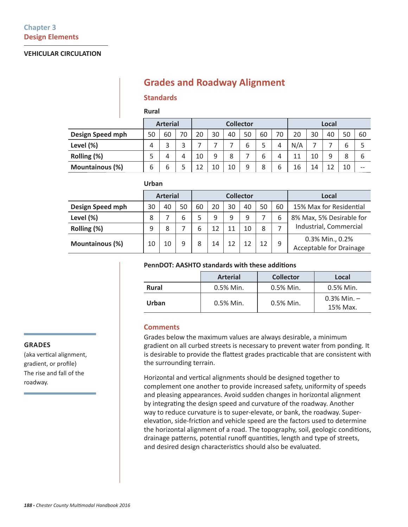# **Grades and Roadway Alignment**

### **Standards**

**Rural**

**Urban**

|                         |    | <b>Arterial</b> |    | <b>Collector</b><br>Local |    |    |    |    |        |     |    |    |    |       |
|-------------------------|----|-----------------|----|---------------------------|----|----|----|----|--------|-----|----|----|----|-------|
| <b>Design Speed mph</b> | 50 | 60              | 70 | 20                        | 30 | 40 | 50 | 60 | 70     | 20  | 30 | 40 | 50 | 60    |
| Level (%)               | 4  | 3               | 3  |                           |    |    | 6  | 5  | 4      | N/A |    |    | b  |       |
| Rolling (%)             | 5  | 4               | 4  | 10                        | 9  | 8  |    | 6  | 4      | 11  | 10 | a  | 8  | b     |
| <b>Mountainous (%)</b>  | 6  | 6               |    | 12                        | 10 | 10 | 9  | 8  | ╭<br>ь | 16  | 14 |    | 10 | $- -$ |

|                        | UNUdil |                 |    |                  |    |    |    |    |    |                                                   |
|------------------------|--------|-----------------|----|------------------|----|----|----|----|----|---------------------------------------------------|
|                        |        | <b>Arterial</b> |    | <b>Collector</b> |    |    |    |    |    | Local                                             |
| Design Speed mph       | 30     | 40              | 50 | 60               | 20 | 30 | 40 | 50 | 60 | 15% Max for Residential                           |
| Level (%)              | 8      |                 | 6  | 5                | 9  | 9  | 9  |    | 6  | 8% Max, 5% Desirable for                          |
| Rolling (%)            | 9      | 8               |    | 6                | 12 | 11 | 10 | 8  |    | Industrial, Commercial                            |
| <b>Mountainous (%)</b> | 10     | 10              | 9  | 8                | 14 | 12 | 12 | 12 | 9  | 0.3% Min., 0.2%<br><b>Acceptable for Drainage</b> |

### **PennDOT: AASHTO standards with these additions**

|              | <b>Arterial</b> | <b>Collector</b> | Local                        |
|--------------|-----------------|------------------|------------------------------|
| <b>Rural</b> | $0.5\%$ Min.    | $0.5\%$ Min.     | $0.5\%$ Min.                 |
| Urban        | $0.5\%$ Min.    | $0.5\%$ Min.     | $0.3\%$ Min. $-$<br>15% Max. |

### **Comments**

Grades below the maximum values are always desirable, a minimum gradient on all curbed streets is necessary to prevent water from ponding. It is desirable to provide the flattest grades practicable that are consistent with the surrounding terrain.

Horizontal and vertical alignments should be designed together to complement one another to provide increased safety, uniformity of speeds and pleasing appearances. Avoid sudden changes in horizontal alignment by integrating the design speed and curvature of the roadway. Another way to reduce curvature is to super-elevate, or bank, the roadway. Superelevation, side-friction and vehicle speed are the factors used to determine the horizontal alignment of a road. The topography, soil, geologic conditions, drainage patterns, potential runoff quantities, length and type of streets, and desired design characteristics should also be evaluated.

#### **GRADES**

(aka vertical alignment, gradient, or profile) The rise and fall of the roadway.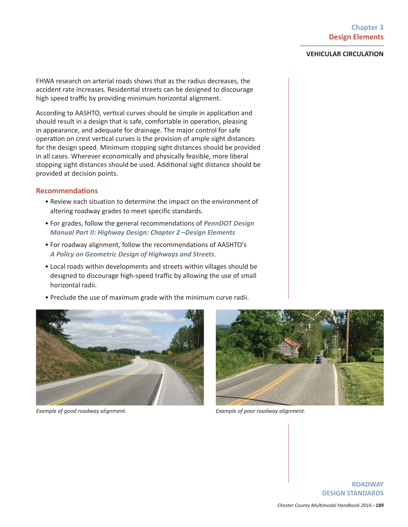FHWA research on arterial roads shows that as the radius decreases, the accident rate increases. Residential streets can be designed to discourage high speed traffic by providing minimum horizontal alignment.

According to AASHTO, vertical curves should be simple in application and should result in a design that is safe, comfortable in operation, pleasing in appearance, and adequate for drainage. The major control for safe operation on crest vertical curves is the provision of ample sight distances for the design speed. Minimum stopping sight distances should be provided in all cases. Wherever economically and physically feasible, more liberal stopping sight distances should be used. Additional sight distance should be provided at decision points.

### **RecommendaƟ ons**

- Review each situation to determine the impact on the environment of altering roadway grades to meet specific standards.
- For grades, follow the general recommendations of *PennDOT Design Manual Part II: Highway Design: Chapter 2 –Design Elements*
- For roadway alignment, follow the recommendations of AASHTO's *A Policy on Geometric Design of Highways and Streets*.
- Local roads within developments and streets within villages should be designed to discourage high-speed traffic by allowing the use of small horizontal radii.
- Preclude the use of maximum grade with the minimum curve radii.



*Example of good roadway alignment. Example of poor roadway alignment.*



**ROADWAY DESIGN STANDARDS**

*Chester County MulƟ modal Handbook 2016* • *189*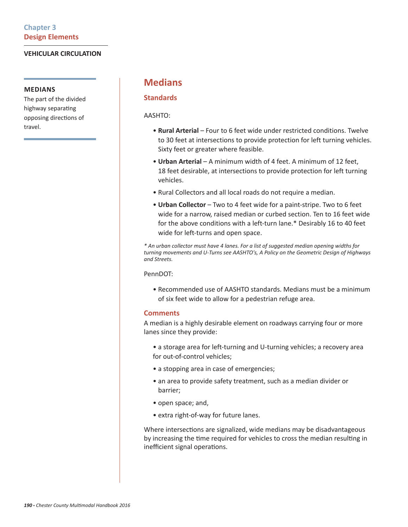### **MEDIANS**

The part of the divided highway separating opposing directions of travel.

# **Medians**

### **Standards**

AASHTO:

- **Rural Arterial** Four to 6 feet wide under restricted conditions. Twelve to 30 feet at intersections to provide protection for left turning vehicles. Sixty feet or greater where feasible.
- **Urban Arterial** A minimum width of 4 feet. A minimum of 12 feet, 18 feet desirable, at intersections to provide protection for left turning vehicles.
- Rural Collectors and all local roads do not require a median.
- **Urban Collector** Two to 4 feet wide for a paint-stripe. Two to 6 feet wide for a narrow, raised median or curbed section. Ten to 16 feet wide for the above conditions with a left-turn lane.\* Desirably 16 to 40 feet wide for left-turns and open space.

*\* An urban collector must have 4 lanes. For a list of suggested median opening widths for turning movements and U-Turns see AASHTO's, A Policy on the Geometric Design of Highways and Streets.*

PennDOT:

• Recommended use of AASHTO standards. Medians must be a minimum of six feet wide to allow for a pedestrian refuge area.

### **Comments**

A median is a highly desirable element on roadways carrying four or more lanes since they provide:

- a storage area for left-turning and U-turning vehicles; a recovery area for out-of-control vehicles;
- a stopping area in case of emergencies;
- an area to provide safety treatment, such as a median divider or barrier;
- open space; and,
- extra right-of-way for future lanes.

Where intersections are signalized, wide medians may be disadvantageous by increasing the time required for vehicles to cross the median resulting in inefficient signal operations.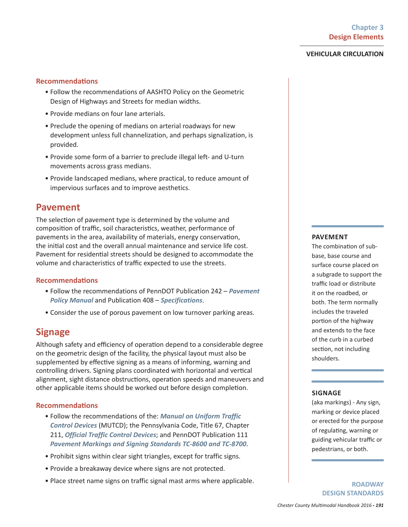### **RecommendaƟ ons**

- Follow the recommendations of AASHTO Policy on the Geometric Design of Highways and Streets for median widths.
- Provide medians on four lane arterials.
- Preclude the opening of medians on arterial roadways for new development unless full channelization, and perhaps signalization, is provided.
- Provide some form of a barrier to preclude illegal left- and U-turn movements across grass medians.
- Provide landscaped medians, where practical, to reduce amount of impervious surfaces and to improve aesthetics.

### **Pavement**

The selection of pavement type is determined by the volume and composition of traffic, soil characteristics, weather, performance of pavements in the area, availability of materials, energy conservation, the initial cost and the overall annual maintenance and service life cost. Pavement for residential streets should be designed to accommodate the volume and characteristics of traffic expected to use the streets.

### **RecommendaƟ ons**

- Follow the recommendations of PennDOT Publication 242 *Pavement Policy Manual* and Publication 408 – *Specifications*.
- Consider the use of porous pavement on low turnover parking areas.

# **Signage**

Although safety and efficiency of operation depend to a considerable degree on the geometric design of the facility, the physical layout must also be supplemented by effective signing as a means of informing, warning and controlling drivers. Signing plans coordinated with horizontal and vertical alignment, sight distance obstructions, operation speeds and maneuvers and other applicable items should be worked out before design completion.

### **RecommendaƟ ons**

- Follow the recommendations of the: *Manual on Uniform Traffic Control Devices* (MUTCD); the Pennsylvania Code, Title 67, Chapter 211, *Official Traffic Control Devices*; and PennDOT Publication 111 *Pavement Markings and Signing Standards TC-8600 and TC-8700*.
- Prohibit signs within clear sight triangles, except for traffic signs.
- Provide a breakaway device where signs are not protected.
- Place street name signs on traffic signal mast arms where applicable.

#### **PAVEMENT**

The combination of subbase, base course and surface course placed on a subgrade to support the traffic load or distribute it on the roadbed, or both. The term normally includes the traveled portion of the highway and extends to the face of the curb in a curbed section, not including shoulders.

### **SIGNAGE**

(aka markings) - Any sign, marking or device placed or erected for the purpose of regulating, warning or guiding vehicular traffic or pedestrians, or both.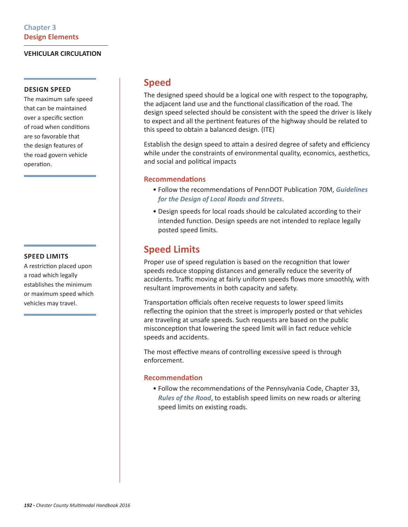### **DESIGN SPEED**

The maximum safe speed that can be maintained over a specific section of road when conditions are so favorable that the design features of the road govern vehicle operation.

### **SPEED LIMITS**

A restriction placed upon a road which legally establishes the minimum or maximum speed which vehicles may travel.

# **Speed**

The designed speed should be a logical one with respect to the topography, the adjacent land use and the functional classification of the road. The design speed selected should be consistent with the speed the driver is likely to expect and all the pertinent features of the highway should be related to this speed to obtain a balanced design. (ITE)

Establish the design speed to attain a desired degree of safety and efficiency while under the constraints of environmental quality, economics, aesthetics, and social and political impacts

### **RecommendaƟ ons**

- Follow the recommendations of PennDOT Publication 70M, *Guidelines for the Design of Local Roads and Streets*.
- Design speeds for local roads should be calculated according to their intended function. Design speeds are not intended to replace legally posted speed limits.

# **Speed Limits**

Proper use of speed regulation is based on the recognition that lower speeds reduce stopping distances and generally reduce the severity of accidents. Traffic moving at fairly uniform speeds flows more smoothly, with resultant improvements in both capacity and safety.

Transportation officials often receive requests to lower speed limits reflecting the opinion that the street is improperly posted or that vehicles are traveling at unsafe speeds. Such requests are based on the public misconception that lowering the speed limit will in fact reduce vehicle speeds and accidents.

The most effective means of controlling excessive speed is through enforcement.

### **RecommendaƟ on**

• Follow the recommendations of the Pennsylvania Code, Chapter 33, *Rules of the Road*, to establish speed limits on new roads or altering speed limits on existing roads.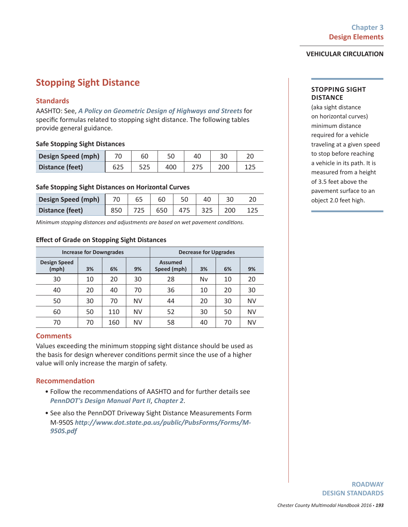# **Stopping Sight Distance**

### **Standards**

AASHTO: See, *A Policy on Geometric Design of Highways and Streets* for specific formulas related to stopping sight distance. The following tables provide general guidance.

### **Safe Stopping Sight Distances**

| <b>Design Speed (mph)</b> |     | 60    |     |     |  |
|---------------------------|-----|-------|-----|-----|--|
| Distance (feet)           | 625 | ر ے ر | 400 | 200 |  |

### **Safe Stopping Sight Distances on Horizontal Curves**

| Design Speed (mph) |  | 60  |     |     |  |
|--------------------|--|-----|-----|-----|--|
| Distance (feet)    |  | 650 | 475 | 200 |  |

*Minimum stopping distances and adjustments are based on wet pavement conditions.* 

### **Eff ect of Grade on Stopping Sight Distances**

|                              | <b>Increase for Downgrades</b> |     |           | <b>Decrease for Upgrades</b>  |    |    |           |  |  |  |
|------------------------------|--------------------------------|-----|-----------|-------------------------------|----|----|-----------|--|--|--|
| <b>Design Speed</b><br>(mph) | 3%                             | 6%  | 9%        | <b>Assumed</b><br>Speed (mph) | 3% | 6% | 9%        |  |  |  |
| 30                           | 10                             | 20  | 30        | 28                            | Nv | 10 | 20        |  |  |  |
| 40                           | 20                             | 40  | 70        | 36                            | 10 | 20 | 30        |  |  |  |
| 50                           | 30                             | 70  | <b>NV</b> | 44                            | 20 | 30 | <b>NV</b> |  |  |  |
| 60                           | 50                             | 110 | <b>NV</b> | 52                            | 30 | 50 | <b>NV</b> |  |  |  |
| 70                           | 70                             | 160 | <b>NV</b> | 58                            | 40 | 70 | <b>NV</b> |  |  |  |

### **Comments**

Values exceeding the minimum stopping sight distance should be used as the basis for design wherever conditions permit since the use of a higher value will only increase the margin of safety.

### **RecommendaƟ on**

- Follow the recommendations of AASHTO and for further details see *PennDOT's Design Manual Part II*, *Chapter 2*.
- See also the PennDOT Driveway Sight Distance Measurements Form M-950S *http://www.dot.state.pa.us/public/PubsForms/Forms/M-950S.pdf*

#### **STOPPING SIGHT DISTANCE**

(aka sight distance on horizontal curves) minimum distance required for a vehicle traveling at a given speed to stop before reaching a vehicle in its path. It is measured from a height of 3.5 feet above the pavement surface to an object 2.0 feet high.

> **ROADWAY DESIGN STANDARDS**